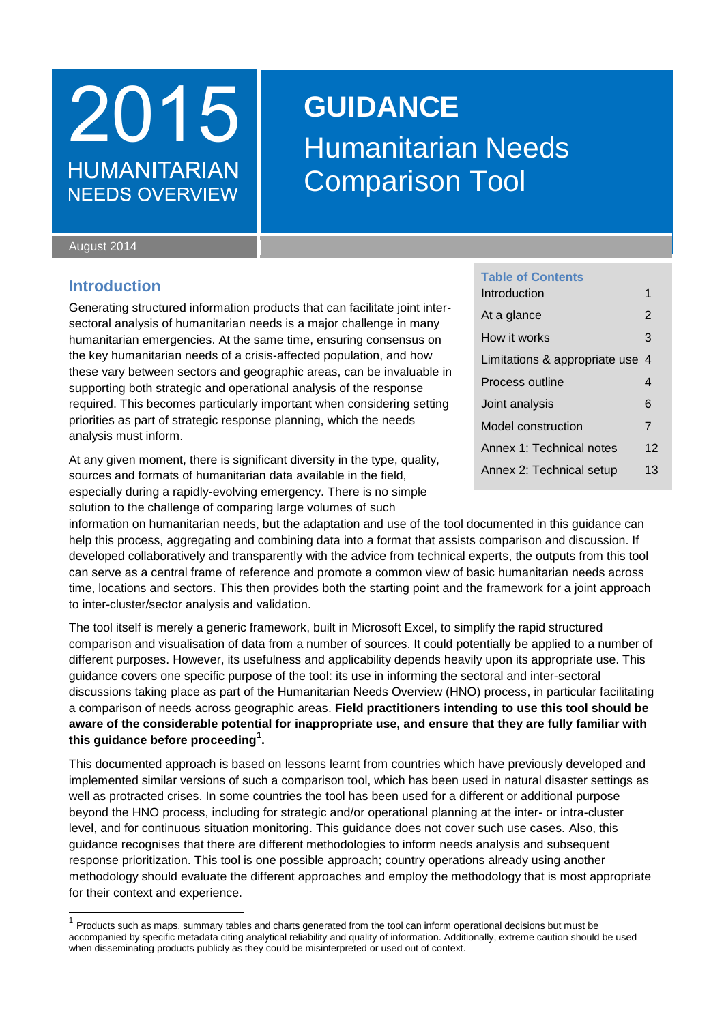## 2015 **GUIDANCE HUMANITARIAN NEEDS OVERVIEW**

# Humanitarian Needs Comparison Tool

#### August 2014

 $\overline{\phantom{a}}$ 

## <span id="page-0-0"></span>**Introduction**

Generating structured information products that can facilitate joint intersectoral analysis of humanitarian needs is a major challenge in many humanitarian emergencies. At the same time, ensuring consensus on the key humanitarian needs of a crisis-affected population, and how these vary between sectors and geographic areas, can be invaluable in supporting both strategic and operational analysis of the response required. This becomes particularly important when considering setting priorities as part of strategic response planning, which the needs analysis must inform.

At any given moment, there is significant diversity in the type, quality, sources and formats of humanitarian data available in the field, especially during a rapidly-evolving emergency. There is no simple solution to the challenge of comparing large volumes of such

### **Table of Contents**

| Introduction                    | 1              |  |  |  |
|---------------------------------|----------------|--|--|--|
| At a glance                     | $\overline{2}$ |  |  |  |
| How it works                    | 3              |  |  |  |
| Limitations & appropriate use 4 |                |  |  |  |
| Process outline                 |                |  |  |  |
| Joint analysis                  |                |  |  |  |
| Model construction              | $\overline{7}$ |  |  |  |
| Annex 1: Technical notes        | 12             |  |  |  |
| Annex 2: Technical setup        | 13             |  |  |  |

information on humanitarian needs, but the adaptation and use of the tool documented in this guidance can help this process, aggregating and combining data into a format that assists comparison and discussion. If developed collaboratively and transparently with the advice from technical experts, the outputs from this tool can serve as a central frame of reference and promote a common view of basic humanitarian needs across time, locations and sectors. This then provides both the starting point and the framework for a joint approach to inter-cluster/sector analysis and validation.

The tool itself is merely a generic framework, built in Microsoft Excel, to simplify the rapid structured comparison and visualisation of data from a number of sources. It could potentially be applied to a number of different purposes. However, its usefulness and applicability depends heavily upon its appropriate use. This guidance covers one specific purpose of the tool: its use in informing the sectoral and inter-sectoral discussions taking place as part of the Humanitarian Needs Overview (HNO) process, in particular facilitating a comparison of needs across geographic areas. **Field practitioners intending to use this tool should be aware of the considerable potential for inappropriate use, and ensure that they are fully familiar with this guidance before proceeding<sup>1</sup> .**

This documented approach is based on lessons learnt from countries which have previously developed and implemented similar versions of such a comparison tool, which has been used in natural disaster settings as well as protracted crises. In some countries the tool has been used for a different or additional purpose beyond the HNO process, including for strategic and/or operational planning at the inter- or intra-cluster level, and for continuous situation monitoring. This guidance does not cover such use cases. Also, this guidance recognises that there are different methodologies to inform needs analysis and subsequent response prioritization. This tool is one possible approach; country operations already using another methodology should evaluate the different approaches and employ the methodology that is most appropriate for their context and experience.

<sup>1</sup> Products such as maps, summary tables and charts generated from the tool can inform operational decisions but must be accompanied by specific metadata citing analytical reliability and quality of information. Additionally, extreme caution should be used when disseminating products publicly as they could be misinterpreted or used out of context.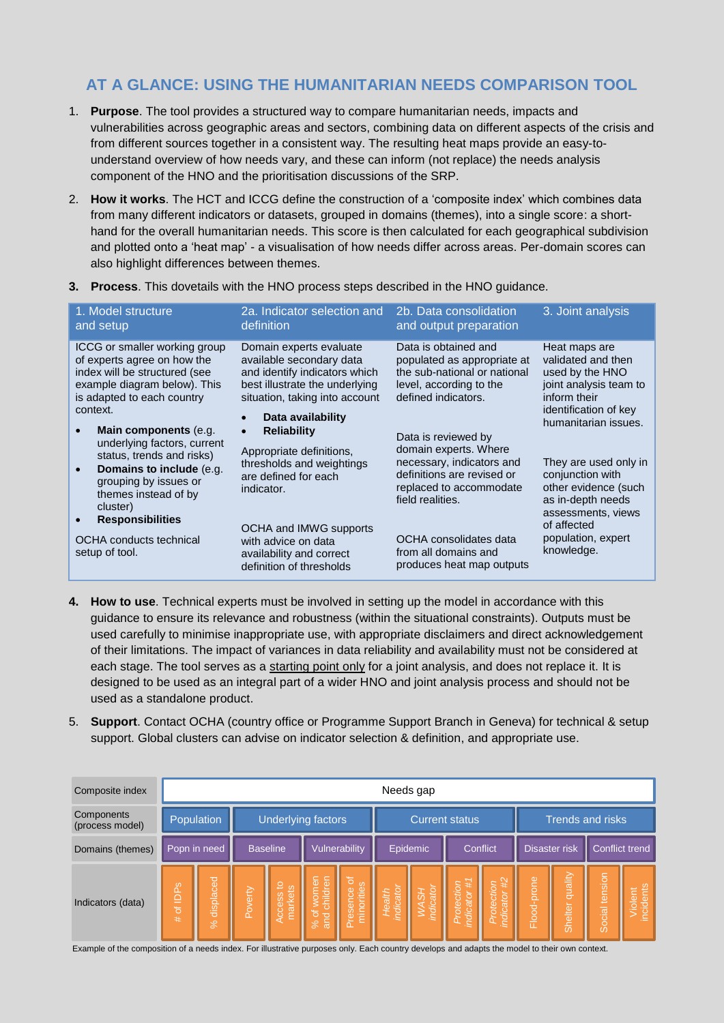## <span id="page-1-0"></span>**AT A GLANCE: USING THE HUMANITARIAN NEEDS COMPARISON TOOL**

- 1. **Purpose**. The tool provides a structured way to compare humanitarian needs, impacts and vulnerabilities across geographic areas and sectors, combining data on different aspects of the crisis and from different sources together in a consistent way. The resulting heat maps provide an easy-tounderstand overview of how needs vary, and these can inform (not replace) the needs analysis component of the HNO and the prioritisation discussions of the SRP.
- 2. **How it works**. The HCT and ICCG define the construction of a 'composite index' which combines data from many different indicators or datasets, grouped in domains (themes), into a single score: a shorthand for the overall humanitarian needs. This score is then calculated for each geographical subdivision and plotted onto a 'heat map' - a visualisation of how needs differ across areas. Per-domain scores can also highlight differences between themes.

| 1. Model structure                                                                                                                                                                                                                                                                                                                                                                                                                                             | 2a. Indicator selection and                                                                                                                                                                                                                                                                                                                                                                                              | 2b. Data consolidation                                                                                                                                                                                                                                                                                                                                                         | 3. Joint analysis                                                                                                                                                                                                                                                                                                    |
|----------------------------------------------------------------------------------------------------------------------------------------------------------------------------------------------------------------------------------------------------------------------------------------------------------------------------------------------------------------------------------------------------------------------------------------------------------------|--------------------------------------------------------------------------------------------------------------------------------------------------------------------------------------------------------------------------------------------------------------------------------------------------------------------------------------------------------------------------------------------------------------------------|--------------------------------------------------------------------------------------------------------------------------------------------------------------------------------------------------------------------------------------------------------------------------------------------------------------------------------------------------------------------------------|----------------------------------------------------------------------------------------------------------------------------------------------------------------------------------------------------------------------------------------------------------------------------------------------------------------------|
| and setup                                                                                                                                                                                                                                                                                                                                                                                                                                                      | definition                                                                                                                                                                                                                                                                                                                                                                                                               | and output preparation                                                                                                                                                                                                                                                                                                                                                         |                                                                                                                                                                                                                                                                                                                      |
| ICCG or smaller working group<br>of experts agree on how the<br>index will be structured (see<br>example diagram below). This<br>is adapted to each country<br>context.<br>Main components (e.g.<br>$\bullet$<br>underlying factors, current<br>status, trends and risks)<br>Domains to include (e.g.<br>$\bullet$<br>grouping by issues or<br>themes instead of by<br>cluster)<br><b>Responsibilities</b><br><b>OCHA</b> conducts technical<br>setup of tool. | Domain experts evaluate<br>available secondary data<br>and identify indicators which<br>best illustrate the underlying<br>situation, taking into account<br>Data availability<br><b>Reliability</b><br>$\bullet$<br>Appropriate definitions,<br>thresholds and weightings<br>are defined for each<br>indicator.<br>OCHA and IMWG supports<br>with advice on data<br>availability and correct<br>definition of thresholds | Data is obtained and<br>populated as appropriate at<br>the sub-national or national<br>level, according to the<br>defined indicators.<br>Data is reviewed by<br>domain experts. Where<br>necessary, indicators and<br>definitions are revised or<br>replaced to accommodate<br>field realities.<br>OCHA consolidates data<br>from all domains and<br>produces heat map outputs | Heat maps are<br>validated and then<br>used by the HNO<br>joint analysis team to<br>inform their<br>identification of key<br>humanitarian issues.<br>They are used only in<br>conjunction with<br>other evidence (such<br>as in-depth needs<br>assessments, views<br>of affected<br>population, expert<br>knowledge. |

**3. Process**. This dovetails with the HNO process steps described in the HNO guidance.

- **4. How to use**. Technical experts must be involved in setting up the model in accordance with this guidance to ensure its relevance and robustness (within the situational constraints). Outputs must be used carefully to minimise inappropriate use, with appropriate disclaimers and direct acknowledgement of their limitations. The impact of variances in data reliability and availability must not be considered at each stage. The tool serves as a starting point only for a joint analysis, and does not replace it. It is designed to be used as an integral part of a wider HNO and joint analysis process and should not be used as a standalone product.
- 5. **Support**. Contact OCHA (country office or Programme Support Branch in Geneva) for technical & setup support. Global clusters can advise on indicator selection & definition, and appropriate use.

| Composite index               | Needs gap                |                              |         |                                  |                                                    |                                               |                          |             |                                        |                                      |                  |                    |                |                    |
|-------------------------------|--------------------------|------------------------------|---------|----------------------------------|----------------------------------------------------|-----------------------------------------------|--------------------------|-------------|----------------------------------------|--------------------------------------|------------------|--------------------|----------------|--------------------|
| Components<br>(process model) | Population               |                              |         |                                  | Underlying factors                                 |                                               | <b>Current status</b>    |             |                                        |                                      | Trends and risks |                    |                |                    |
| Domains (themes)              | Popn in need             |                              |         | <b>Baseline</b><br>Vulnerability |                                                    | Epidemic<br>Conflict                          |                          |             |                                        | <b>Disaster risk</b>                 |                  |                    | Conflict trend |                    |
| Indicators (data)             | of IDP <sub>S</sub><br># | displaced<br>$ \mathcal{S} $ | Poverty | ೆ<br>narkets<br>cess             | children<br>women<br>ð<br>la <sub>ia</sub><br>$\%$ | 15<br>minorities<br>8 <sub>0</sub><br>Presend | <b>ndicato</b><br>Health | cator<br>ρ£ | Protection<br>ndicator #1<br>indicator | $\frac{1}{2}$<br>catol<br>ã<br>inali | Flood-prone      | quality<br>Shelter | Social tension | ncidents<br>iplent |

Example of the composition of a needs index. For illustrative purposes only. Each country develops and adapts the model to their own context.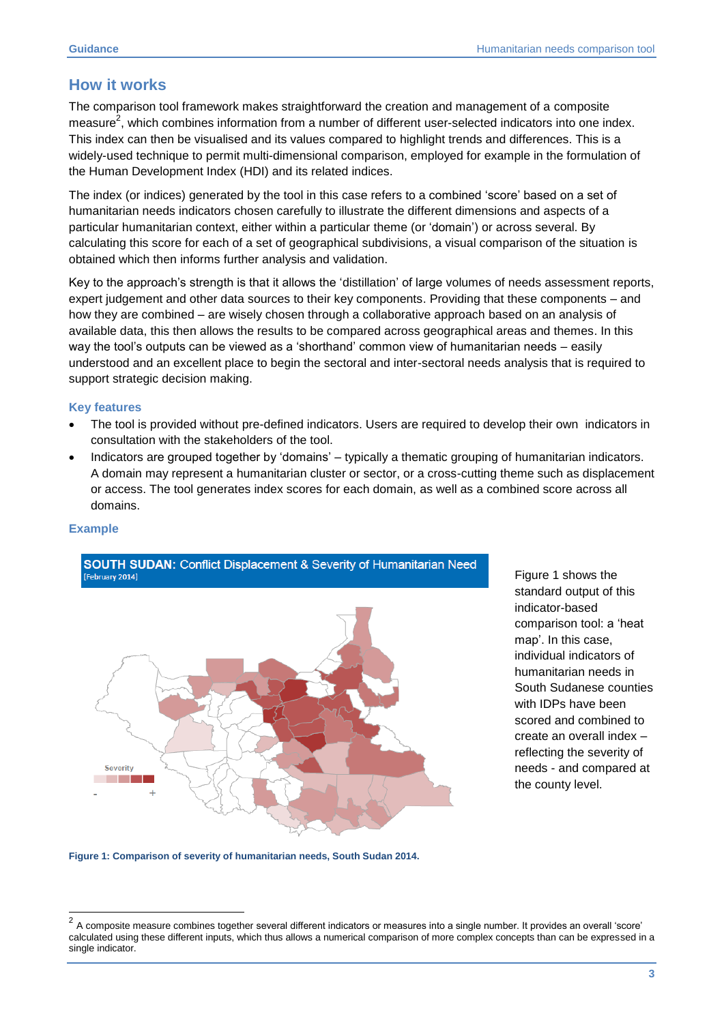## <span id="page-2-0"></span>**How it works**

The comparison tool framework makes straightforward the creation and management of a composite measure<sup>2</sup>, which combines information from a number of different user-selected indicators into one index. This index can then be visualised and its values compared to highlight trends and differences. This is a widely-used technique to permit multi-dimensional comparison, employed for example in the formulation of the Human Development Index (HDI) and its related indices.

The index (or indices) generated by the tool in this case refers to a combined 'score' based on a set of humanitarian needs indicators chosen carefully to illustrate the different dimensions and aspects of a particular humanitarian context, either within a particular theme (or 'domain') or across several. By calculating this score for each of a set of geographical subdivisions, a visual comparison of the situation is obtained which then informs further analysis and validation.

Key to the approach's strength is that it allows the 'distillation' of large volumes of needs assessment reports, expert judgement and other data sources to their key components. Providing that these components – and how they are combined – are wisely chosen through a collaborative approach based on an analysis of available data, this then allows the results to be compared across geographical areas and themes. In this way the tool's outputs can be viewed as a 'shorthand' common view of humanitarian needs – easily understood and an excellent place to begin the sectoral and inter-sectoral needs analysis that is required to support strategic decision making.

#### **Key features**

- The tool is provided without pre-defined indicators. Users are required to develop their own indicators in consultation with the stakeholders of the tool.
- Indicators are grouped together by 'domains' typically a thematic grouping of humanitarian indicators. A domain may represent a humanitarian cluster or sector, or a cross-cutting theme such as displacement or access. The tool generates index scores for each domain, as well as a combined score across all domains.

### **Example**

 $\overline{\phantom{a}}$ 



Figure 1 shows the standard output of this indicator-based comparison tool: a 'heat map'. In this case, individual indicators of humanitarian needs in South Sudanese counties with IDPs have been scored and combined to create an overall index – reflecting the severity of needs - and compared at the county level.

**Figure 1: Comparison of severity of humanitarian needs, South Sudan 2014.**

<sup>2</sup> A composite measure combines together several different indicators or measures into a single number. It provides an overall 'score' calculated using these different inputs, which thus allows a numerical comparison of more complex concepts than can be expressed in a single indicator.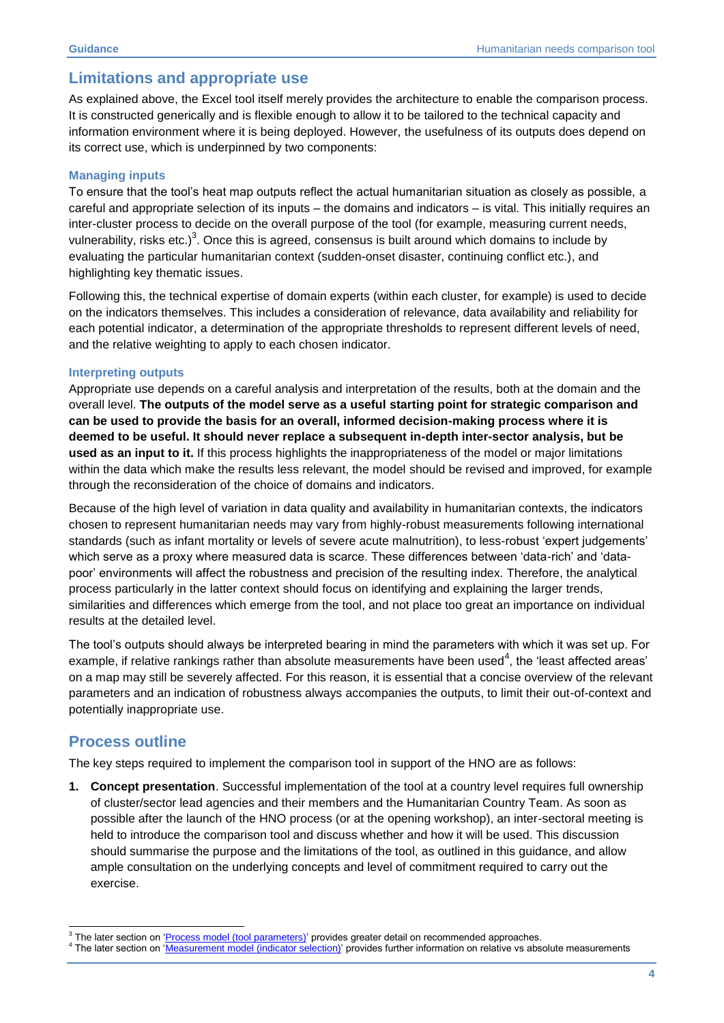## <span id="page-3-0"></span>**Limitations and appropriate use**

As explained above, the Excel tool itself merely provides the architecture to enable the comparison process. It is constructed generically and is flexible enough to allow it to be tailored to the technical capacity and information environment where it is being deployed. However, the usefulness of its outputs does depend on its correct use, which is underpinned by two components:

## **Managing inputs**

To ensure that the tool's heat map outputs reflect the actual humanitarian situation as closely as possible, a careful and appropriate selection of its inputs – the domains and indicators – is vital. This initially requires an inter-cluster process to decide on the overall purpose of the tool (for example, measuring current needs, vulnerability, risks etc.)<sup>3</sup>. Once this is agreed, consensus is built around which domains to include by evaluating the particular humanitarian context (sudden-onset disaster, continuing conflict etc.), and highlighting key thematic issues.

Following this, the technical expertise of domain experts (within each cluster, for example) is used to decide on the indicators themselves. This includes a consideration of relevance, data availability and reliability for each potential indicator, a determination of the appropriate thresholds to represent different levels of need, and the relative weighting to apply to each chosen indicator.

### **Interpreting outputs**

Appropriate use depends on a careful analysis and interpretation of the results, both at the domain and the overall level. **The outputs of the model serve as a useful starting point for strategic comparison and can be used to provide the basis for an overall, informed decision-making process where it is deemed to be useful. It should never replace a subsequent in-depth inter-sector analysis, but be used as an input to it.** If this process highlights the inappropriateness of the model or major limitations within the data which make the results less relevant, the model should be revised and improved, for example through the reconsideration of the choice of domains and indicators.

Because of the high level of variation in data quality and availability in humanitarian contexts, the indicators chosen to represent humanitarian needs may vary from highly-robust measurements following international standards (such as infant mortality or levels of severe acute malnutrition), to less-robust 'expert judgements' which serve as a proxy where measured data is scarce. These differences between 'data-rich' and 'datapoor' environments will affect the robustness and precision of the resulting index. Therefore, the analytical process particularly in the latter context should focus on identifying and explaining the larger trends, similarities and differences which emerge from the tool, and not place too great an importance on individual results at the detailed level.

The tool's outputs should always be interpreted bearing in mind the parameters with which it was set up. For example, if relative rankings rather than absolute measurements have been used<sup>4</sup>, the 'least affected areas' on a map may still be severely affected. For this reason, it is essential that a concise overview of the relevant parameters and an indication of robustness always accompanies the outputs, to limit their out-of-context and potentially inappropriate use.

## <span id="page-3-1"></span>**Process outline**

The key steps required to implement the comparison tool in support of the HNO are as follows:

**1. Concept presentation**. Successful implementation of the tool at a country level requires full ownership of cluster/sector lead agencies and their members and the Humanitarian Country Team. As soon as possible after the launch of the HNO process (or at the opening workshop), an inter-sectoral meeting is held to introduce the comparison tool and discuss whether and how it will be used. This discussion should summarise the purpose and the limitations of the tool, as outlined in this guidance, and allow ample consultation on the underlying concepts and level of commitment required to carry out the exercise.

<sup>-</sup>3 The later section on 'Process model [\(tool parameters\)](#page-6-0)' provides greater detail on recommended approaches.

<sup>4</sup> The later section on '[Measurement model \(indicator selection\)](#page-9-0)' provides further information on relative vs absolute measurements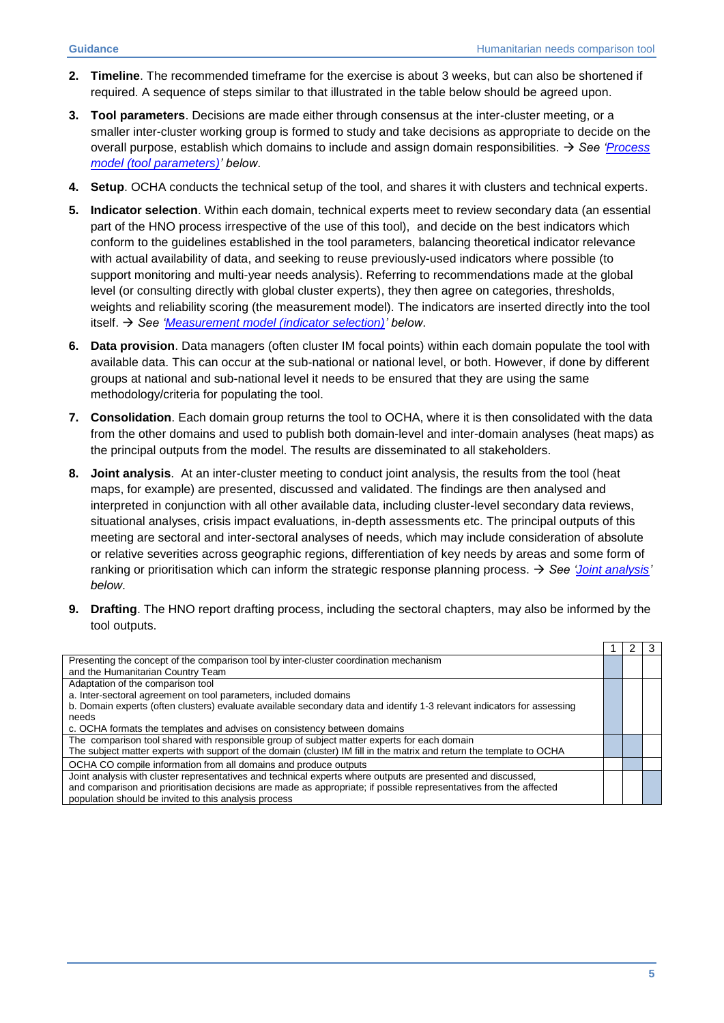- **2. Timeline**. The recommended timeframe for the exercise is about 3 weeks, but can also be shortened if required. A sequence of steps similar to that illustrated in the table below should be agreed upon.
- **3. Tool parameters**. Decisions are made either through consensus at the inter-cluster meeting, or a smaller inter-cluster working group is formed to study and take decisions as appropriate to decide on the overall purpose, establish which domains to include and assign domain responsibilities. *See ['Process](#page-6-1)  [model \(tool parameters\)'](#page-6-1) below*.
- **4. Setup**. OCHA conducts the technical setup of the tool, and shares it with clusters and technical experts.
- **5. Indicator selection**. Within each domain, technical experts meet to review secondary data (an essential part of the HNO process irrespective of the use of this tool), and decide on the best indicators which conform to the guidelines established in the tool parameters, balancing theoretical indicator relevance with actual availability of data, and seeking to reuse previously-used indicators where possible (to support monitoring and multi-year needs analysis). Referring to recommendations made at the global level (or consulting directly with global cluster experts), they then agree on categories, thresholds, weights and reliability scoring (the measurement model). The indicators are inserted directly into the tool itself. *See ['Measurement model \(indicator selection\)'](#page-8-0) below*.
- **6. Data provision**. Data managers (often cluster IM focal points) within each domain populate the tool with available data. This can occur at the sub-national or national level, or both. However, if done by different groups at national and sub-national level it needs to be ensured that they are using the same methodology/criteria for populating the tool.
- **7. Consolidation**. Each domain group returns the tool to OCHA, where it is then consolidated with the data from the other domains and used to publish both domain-level and inter-domain analyses (heat maps) as the principal outputs from the model. The results are disseminated to all stakeholders.
- **8. Joint analysis**. At an inter-cluster meeting to conduct joint analysis, the results from the tool (heat maps, for example) are presented, discussed and validated. The findings are then analysed and interpreted in conjunction with all other available data, including cluster-level secondary data reviews, situational analyses, crisis impact evaluations, in-depth assessments etc. The principal outputs of this meeting are sectoral and inter-sectoral analyses of needs, which may include consideration of absolute or relative severities across geographic regions, differentiation of key needs by areas and some form of ranking or prioritisation which can inform the strategic response planning process. *See ['Joint analysis'](#page-5-0) below*.
- **9. Drafting**. The HNO report drafting process, including the sectoral chapters, may also be informed by the tool outputs.

| Presenting the concept of the comparison tool by inter-cluster coordination mechanism                                   |  |  |
|-------------------------------------------------------------------------------------------------------------------------|--|--|
| and the Humanitarian Country Team                                                                                       |  |  |
| Adaptation of the comparison tool                                                                                       |  |  |
| a. Inter-sectoral agreement on tool parameters, included domains                                                        |  |  |
| b. Domain experts (often clusters) evaluate available secondary data and identify 1-3 relevant indicators for assessing |  |  |
| needs                                                                                                                   |  |  |
| c. OCHA formats the templates and advises on consistency between domains                                                |  |  |
| The comparison tool shared with responsible group of subject matter experts for each domain                             |  |  |
| The subject matter experts with support of the domain (cluster) IM fill in the matrix and return the template to OCHA   |  |  |
| OCHA CO compile information from all domains and produce outputs                                                        |  |  |
| Joint analysis with cluster representatives and technical experts where outputs are presented and discussed,            |  |  |
| and comparison and prioritisation decisions are made as appropriate; if possible representatives from the affected      |  |  |
| population should be invited to this analysis process                                                                   |  |  |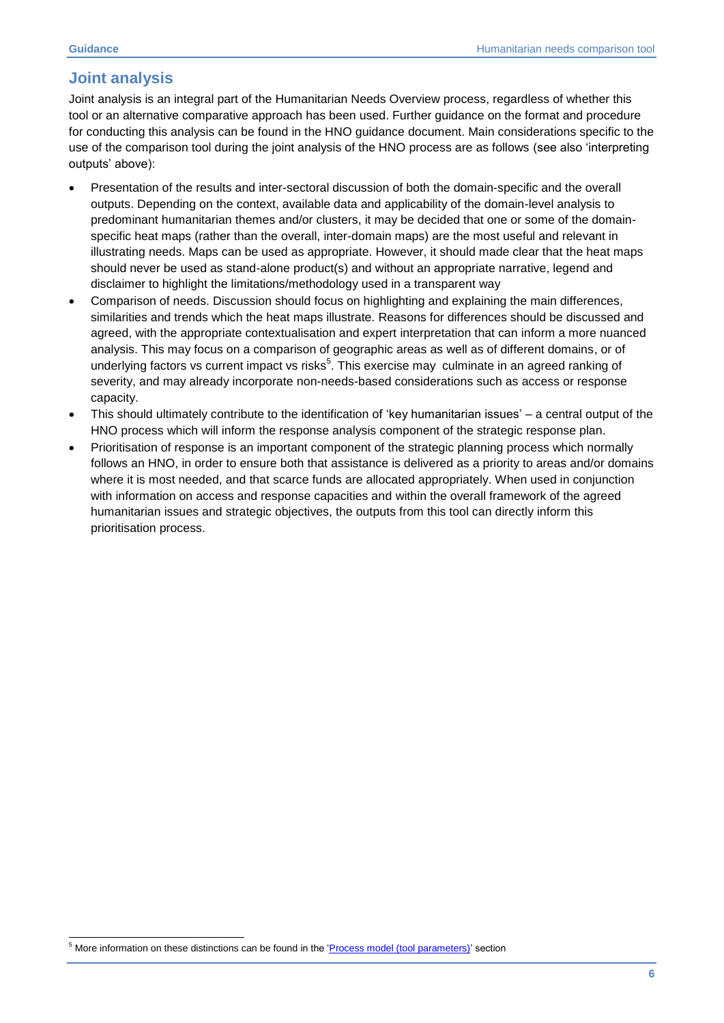1

## <span id="page-5-0"></span>**Joint analysis**

Joint analysis is an integral part of the Humanitarian Needs Overview process, regardless of whether this tool or an alternative comparative approach has been used. Further guidance on the format and procedure for conducting this analysis can be found in the HNO guidance document. Main considerations specific to the use of the comparison tool during the joint analysis of the HNO process are as follows (see also 'interpreting outputs' above):

- Presentation of the results and inter-sectoral discussion of both the domain-specific and the overall outputs. Depending on the context, available data and applicability of the domain-level analysis to predominant humanitarian themes and/or clusters, it may be decided that one or some of the domainspecific heat maps (rather than the overall, inter-domain maps) are the most useful and relevant in illustrating needs. Maps can be used as appropriate. However, it should made clear that the heat maps should never be used as stand-alone product(s) and without an appropriate narrative, legend and disclaimer to highlight the limitations/methodology used in a transparent way
- Comparison of needs. Discussion should focus on highlighting and explaining the main differences, similarities and trends which the heat maps illustrate. Reasons for differences should be discussed and agreed, with the appropriate contextualisation and expert interpretation that can inform a more nuanced analysis. This may focus on a comparison of geographic areas as well as of different domains, or of underlying factors vs current impact vs risks<sup>5</sup>. This exercise may culminate in an agreed ranking of severity, and may already incorporate non-needs-based considerations such as access or response capacity.
- This should ultimately contribute to the identification of 'key humanitarian issues' a central output of the HNO process which will inform the response analysis component of the strategic response plan.
- <span id="page-5-1"></span> Prioritisation of response is an important component of the strategic planning process which normally follows an HNO, in order to ensure both that assistance is delivered as a priority to areas and/or domains where it is most needed, and that scarce funds are allocated appropriately. When used in conjunction with information on access and response capacities and within the overall framework of the agreed humanitarian issues and strategic objectives, the outputs from this tool can directly inform this prioritisation process.

<sup>&</sup>lt;sup>5</sup> More information on these distinctions can be found in the '*Process model (tool parameters)*' section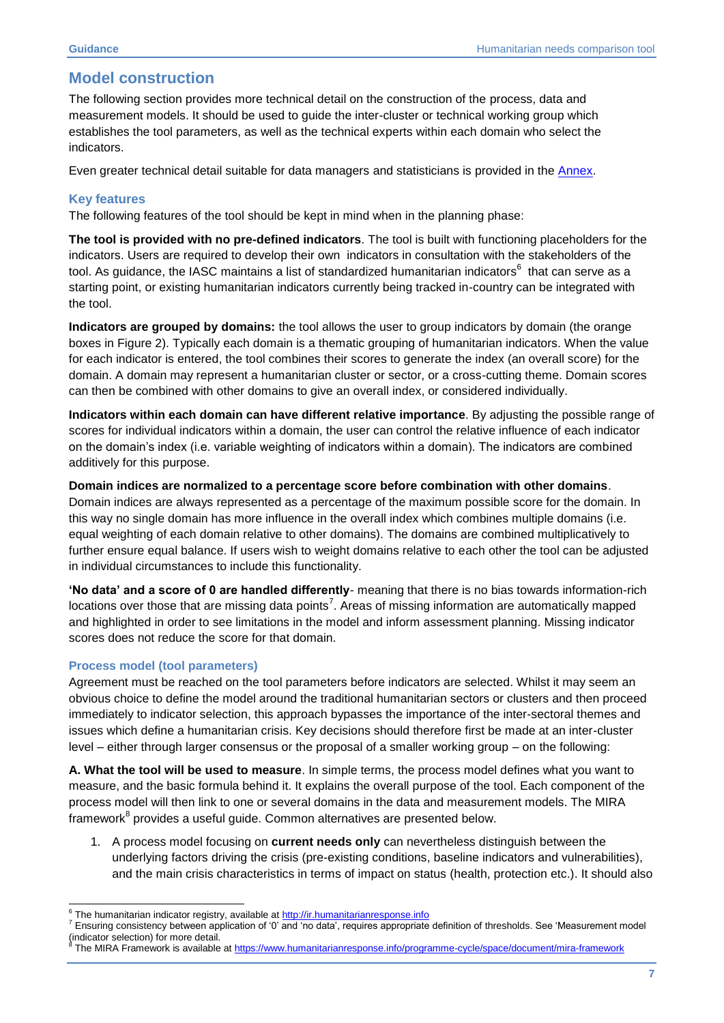## <span id="page-6-0"></span>**Model construction**

The following section provides more technical detail on the construction of the process, data and measurement models. It should be used to guide the inter-cluster or technical working group which establishes the tool parameters, as well as the technical experts within each domain who select the indicators.

Even greater technical detail suitable for data managers and statisticians is provided in the [Annex.](#page-11-0)

## **Key features**

The following features of the tool should be kept in mind when in the planning phase:

**The tool is provided with no pre-defined indicators**. The tool is built with functioning placeholders for the indicators. Users are required to develop their own indicators in consultation with the stakeholders of the tool. As guidance, the IASC maintains a list of standardized humanitarian indicators<sup>6</sup> that can serve as a starting point, or existing humanitarian indicators currently being tracked in-country can be integrated with the tool.

**Indicators are grouped by domains:** the tool allows the user to group indicators by domain (the orange boxes in Figure 2). Typically each domain is a thematic grouping of humanitarian indicators. When the value for each indicator is entered, the tool combines their scores to generate the index (an overall score) for the domain. A domain may represent a humanitarian cluster or sector, or a cross-cutting theme. Domain scores can then be combined with other domains to give an overall index, or considered individually.

**Indicators within each domain can have different relative importance**. By adjusting the possible range of scores for individual indicators within a domain, the user can control the relative influence of each indicator on the domain's index (i.e. variable weighting of indicators within a domain). The indicators are combined additively for this purpose.

#### **Domain indices are normalized to a percentage score before combination with other domains**.

Domain indices are always represented as a percentage of the maximum possible score for the domain. In this way no single domain has more influence in the overall index which combines multiple domains (i.e. equal weighting of each domain relative to other domains). The domains are combined multiplicatively to further ensure equal balance. If users wish to weight domains relative to each other the tool can be adjusted in individual circumstances to include this functionality.

**'No data' and a score of 0 are handled differently**- meaning that there is no bias towards information-rich locations over those that are missing data points<sup>7</sup>. Areas of missing information are automatically mapped and highlighted in order to see limitations in the model and inform assessment planning. Missing indicator scores does not reduce the score for that domain.

### <span id="page-6-1"></span>**Process model (tool parameters)**

Agreement must be reached on the tool parameters before indicators are selected. Whilst it may seem an obvious choice to define the model around the traditional humanitarian sectors or clusters and then proceed immediately to indicator selection, this approach bypasses the importance of the inter-sectoral themes and issues which define a humanitarian crisis. Key decisions should therefore first be made at an inter-cluster level – either through larger consensus or the proposal of a smaller working group – on the following:

**A. What the tool will be used to measure**. In simple terms, the process model defines what you want to measure, and the basic formula behind it. It explains the overall purpose of the tool. Each component of the process model will then link to one or several domains in the data and measurement models. The MIRA framework<sup>8</sup> provides a useful guide. Common alternatives are presented below.

1. A process model focusing on **current needs only** can nevertheless distinguish between the underlying factors driving the crisis (pre-existing conditions, baseline indicators and vulnerabilities), and the main crisis characteristics in terms of impact on status (health, protection etc.). It should also

 6 The humanitarian indicator registry, available at [http://ir.humanitarianresponse.info](http://ir.humanitarianresponse.info/)

<sup>7</sup> Ensuring consistency between application of '0' and 'no data', requires appropriate definition of thresholds. See 'Measurement model (indicator selection) for more detail. 8

The MIRA Framework is available at<https://www.humanitarianresponse.info/programme-cycle/space/document/mira-framework>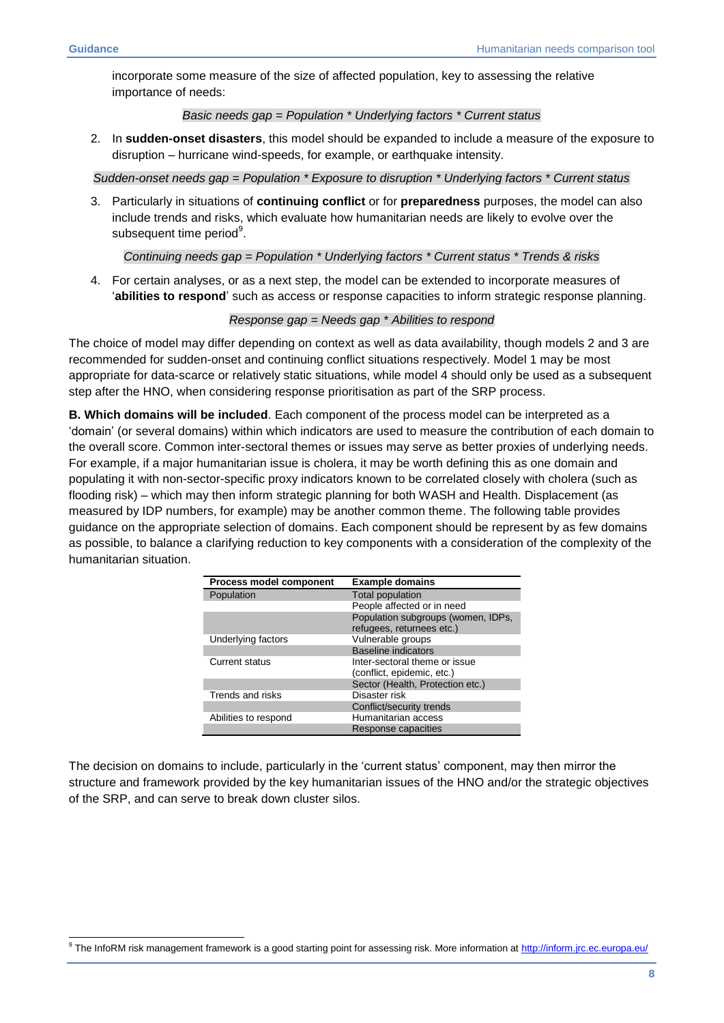incorporate some measure of the size of affected population, key to assessing the relative importance of needs:

#### *Basic needs gap = Population \* Underlying factors \* Current status*

2. In **sudden-onset disasters**, this model should be expanded to include a measure of the exposure to disruption – hurricane wind-speeds, for example, or earthquake intensity.

*Sudden-onset needs gap = Population \* Exposure to disruption \* Underlying factors \* Current status*

3. Particularly in situations of **continuing conflict** or for **preparedness** purposes, the model can also include trends and risks, which evaluate how humanitarian needs are likely to evolve over the subsequent time period<sup>9</sup>.

*Continuing needs gap = Population \* Underlying factors \* Current status \* Trends & risks*

4. For certain analyses, or as a next step, the model can be extended to incorporate measures of '**abilities to respond**' such as access or response capacities to inform strategic response planning.

### *Response gap = Needs gap \* Abilities to respond*

The choice of model may differ depending on context as well as data availability, though models 2 and 3 are recommended for sudden-onset and continuing conflict situations respectively. Model 1 may be most appropriate for data-scarce or relatively static situations, while model 4 should only be used as a subsequent step after the HNO, when considering response prioritisation as part of the SRP process.

**B. Which domains will be included**. Each component of the process model can be interpreted as a 'domain' (or several domains) within which indicators are used to measure the contribution of each domain to the overall score. Common inter-sectoral themes or issues may serve as better proxies of underlying needs. For example, if a major humanitarian issue is cholera, it may be worth defining this as one domain and populating it with non-sector-specific proxy indicators known to be correlated closely with cholera (such as flooding risk) – which may then inform strategic planning for both WASH and Health. Displacement (as measured by IDP numbers, for example) may be another common theme. The following table provides guidance on the appropriate selection of domains. Each component should be represent by as few domains as possible, to balance a clarifying reduction to key components with a consideration of the complexity of the humanitarian situation.

| <b>Process model component</b> | <b>Example domains</b>                                          |
|--------------------------------|-----------------------------------------------------------------|
| Population                     | <b>Total population</b>                                         |
|                                | People affected or in need                                      |
|                                | Population subgroups (women, IDPs,<br>refugees, returnees etc.) |
| Underlying factors             | Vulnerable groups                                               |
|                                | <b>Baseline indicators</b>                                      |
| <b>Current status</b>          | Inter-sectoral theme or issue<br>(conflict, epidemic, etc.)     |
|                                | Sector (Health, Protection etc.)                                |
| Trends and risks               | Disaster risk                                                   |
|                                | Conflict/security trends                                        |
| Abilities to respond           | Humanitarian access                                             |
|                                | <b>Response capacities</b>                                      |

The decision on domains to include, particularly in the 'current status' component, may then mirror the structure and framework provided by the key humanitarian issues of the HNO and/or the strategic objectives of the SRP, and can serve to break down cluster silos.

<sup>1</sup> <sup>9</sup> The InfoRM risk management framework is a good starting point for assessing risk. More information at<http://inform.jrc.ec.europa.eu/>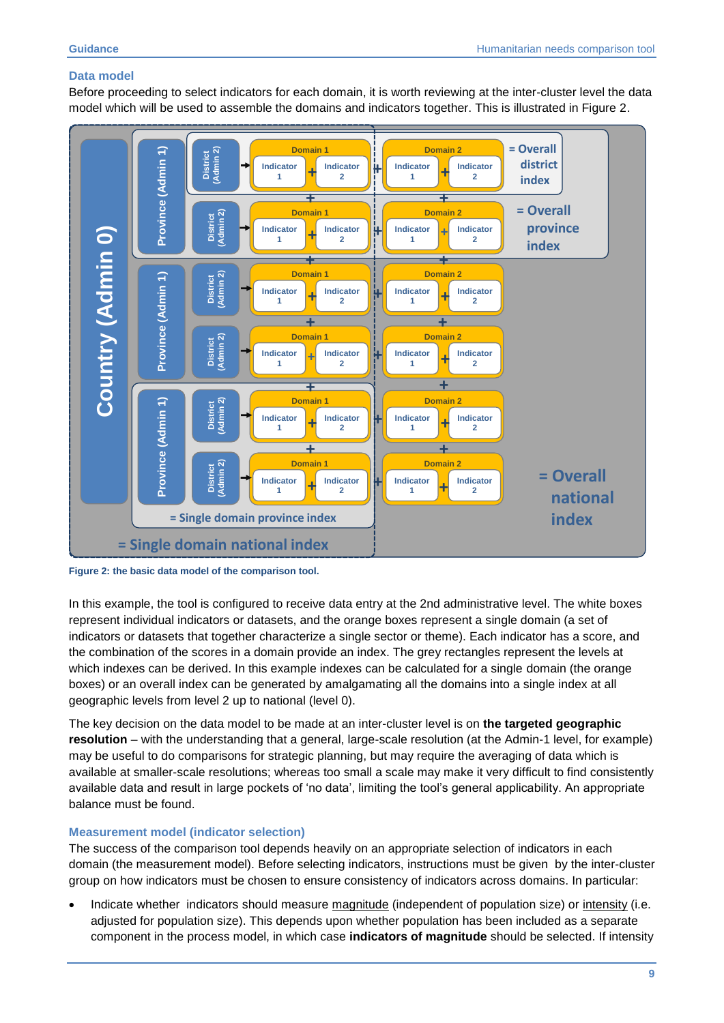## **Data model**

Before proceeding to select indicators for each domain, it is worth reviewing at the inter-cluster level the data model which will be used to assemble the domains and indicators together. This is illustrated in Figure 2.





In this example, the tool is configured to receive data entry at the 2nd administrative level. The white boxes represent individual indicators or datasets, and the orange boxes represent a single domain (a set of indicators or datasets that together characterize a single sector or theme). Each indicator has a score, and the combination of the scores in a domain provide an index. The grey rectangles represent the levels at which indexes can be derived. In this example indexes can be calculated for a single domain (the orange boxes) or an overall index can be generated by amalgamating all the domains into a single index at all geographic levels from level 2 up to national (level 0).

The key decision on the data model to be made at an inter-cluster level is on **the targeted geographic resolution** – with the understanding that a general, large-scale resolution (at the Admin-1 level, for example) may be useful to do comparisons for strategic planning, but may require the averaging of data which is available at smaller-scale resolutions; whereas too small a scale may make it very difficult to find consistently available data and result in large pockets of 'no data', limiting the tool's general applicability. An appropriate balance must be found.

### <span id="page-8-0"></span>**Measurement model (indicator selection)**

The success of the comparison tool depends heavily on an appropriate selection of indicators in each domain (the measurement model). Before selecting indicators, instructions must be given by the inter-cluster group on how indicators must be chosen to ensure consistency of indicators across domains. In particular:

 Indicate whether indicators should measure magnitude (independent of population size) or intensity (i.e. adjusted for population size). This depends upon whether population has been included as a separate component in the process model, in which case **indicators of magnitude** should be selected. If intensity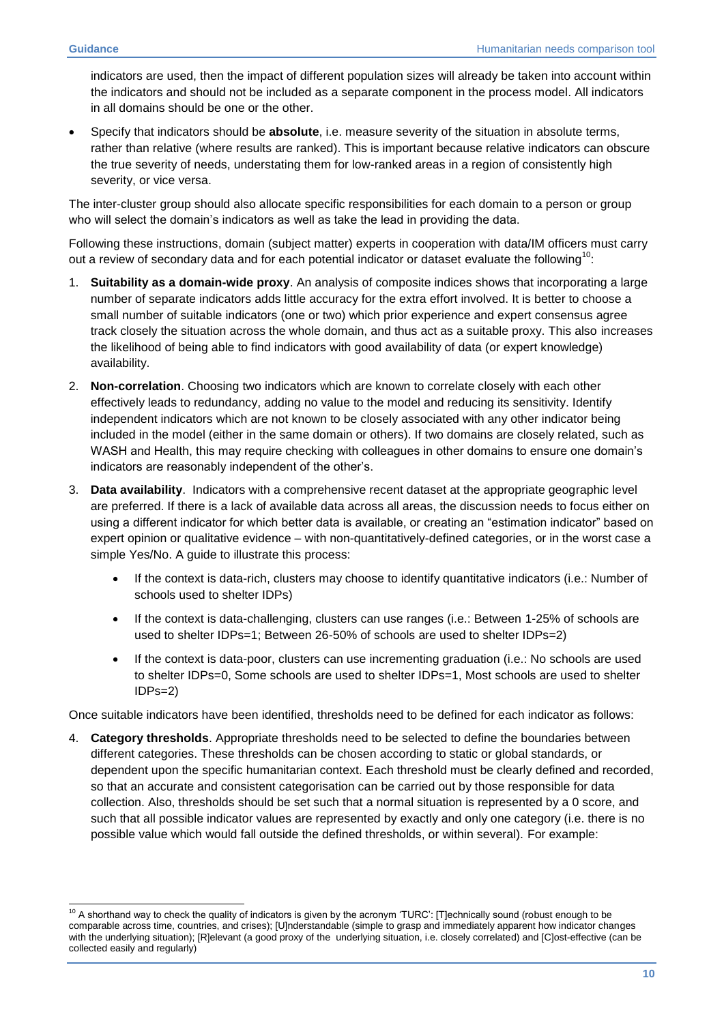<span id="page-9-0"></span>indicators are used, then the impact of different population sizes will already be taken into account within the indicators and should not be included as a separate component in the process model. All indicators in all domains should be one or the other.

 Specify that indicators should be **absolute**, i.e. measure severity of the situation in absolute terms, rather than relative (where results are ranked). This is important because relative indicators can obscure the true severity of needs, understating them for low-ranked areas in a region of consistently high severity, or vice versa.

The inter-cluster group should also allocate specific responsibilities for each domain to a person or group who will select the domain's indicators as well as take the lead in providing the data.

Following these instructions, domain (subject matter) experts in cooperation with data/IM officers must carry out a review of secondary data and for each potential indicator or dataset evaluate the following<sup>10</sup>:

- 1. **Suitability as a domain-wide proxy**. An analysis of composite indices shows that incorporating a large number of separate indicators adds little accuracy for the extra effort involved. It is better to choose a small number of suitable indicators (one or two) which prior experience and expert consensus agree track closely the situation across the whole domain, and thus act as a suitable proxy. This also increases the likelihood of being able to find indicators with good availability of data (or expert knowledge) availability.
- 2. **Non-correlation**. Choosing two indicators which are known to correlate closely with each other effectively leads to redundancy, adding no value to the model and reducing its sensitivity. Identify independent indicators which are not known to be closely associated with any other indicator being included in the model (either in the same domain or others). If two domains are closely related, such as WASH and Health, this may require checking with colleagues in other domains to ensure one domain's indicators are reasonably independent of the other's.
- 3. **Data availability**. Indicators with a comprehensive recent dataset at the appropriate geographic level are preferred. If there is a lack of available data across all areas, the discussion needs to focus either on using a different indicator for which better data is available, or creating an "estimation indicator" based on expert opinion or qualitative evidence – with non-quantitatively-defined categories, or in the worst case a simple Yes/No. A guide to illustrate this process:
	- If the context is data-rich, clusters may choose to identify quantitative indicators (i.e.: Number of schools used to shelter IDPs)
	- If the context is data-challenging, clusters can use ranges (i.e.: Between 1-25% of schools are used to shelter IDPs=1; Between 26-50% of schools are used to shelter IDPs=2)
	- If the context is data-poor, clusters can use incrementing graduation (i.e.: No schools are used to shelter IDPs=0, Some schools are used to shelter IDPs=1, Most schools are used to shelter IDPs=2)

Once suitable indicators have been identified, thresholds need to be defined for each indicator as follows:

4. **Category thresholds**. Appropriate thresholds need to be selected to define the boundaries between different categories. These thresholds can be chosen according to static or global standards, or dependent upon the specific humanitarian context. Each threshold must be clearly defined and recorded, so that an accurate and consistent categorisation can be carried out by those responsible for data collection. Also, thresholds should be set such that a normal situation is represented by a 0 score, and such that all possible indicator values are represented by exactly and only one category (i.e. there is no possible value which would fall outside the defined thresholds, or within several). For example:

<sup>-</sup> $10$  A shorthand way to check the quality of indicators is given by the acronym 'TURC': [T]echnically sound (robust enough to be comparable across time, countries, and crises); [U]nderstandable (simple to grasp and immediately apparent how indicator changes with the underlying situation); [R]elevant (a good proxy of the underlying situation, i.e. closely correlated) and [C]ost-effective (can be collected easily and regularly)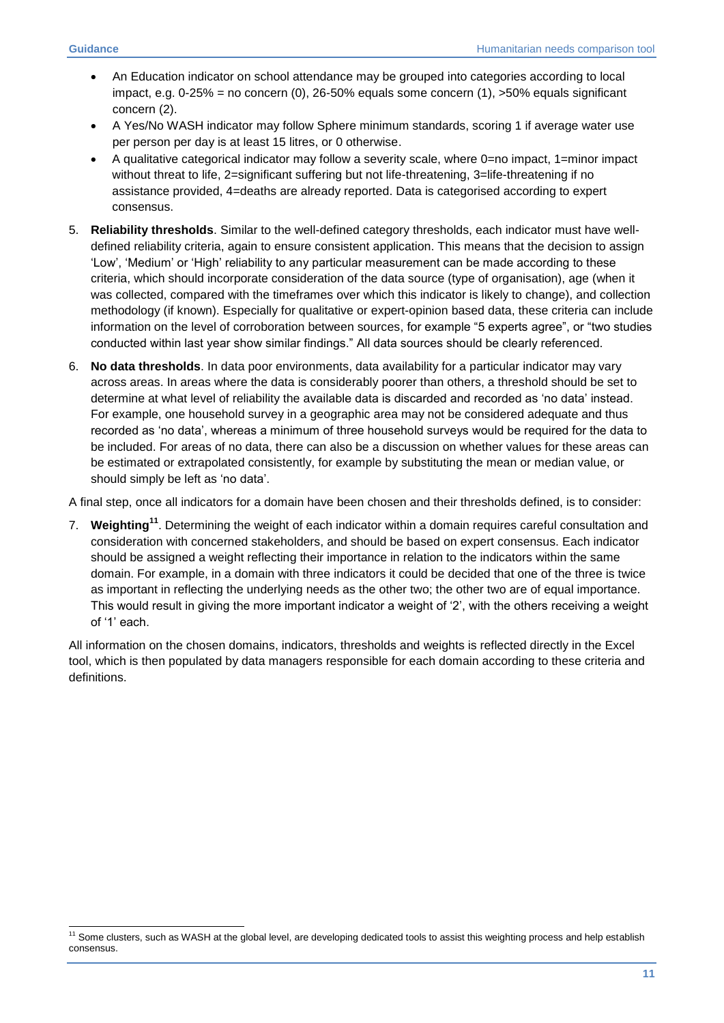-

- An Education indicator on school attendance may be grouped into categories according to local impact, e.g.  $0-25% = no\right.$  concern (0), 26-50% equals some concern (1),  $>50%$  equals significant concern (2).
- A Yes/No WASH indicator may follow Sphere minimum standards, scoring 1 if average water use per person per day is at least 15 litres, or 0 otherwise.
- A qualitative categorical indicator may follow a severity scale, where 0=no impact, 1=minor impact without threat to life, 2=significant suffering but not life-threatening, 3=life-threatening if no assistance provided, 4=deaths are already reported. Data is categorised according to expert consensus.
- 5. **Reliability thresholds**. Similar to the well-defined category thresholds, each indicator must have welldefined reliability criteria, again to ensure consistent application. This means that the decision to assign 'Low', 'Medium' or 'High' reliability to any particular measurement can be made according to these criteria, which should incorporate consideration of the data source (type of organisation), age (when it was collected, compared with the timeframes over which this indicator is likely to change), and collection methodology (if known). Especially for qualitative or expert-opinion based data, these criteria can include information on the level of corroboration between sources, for example "5 experts agree", or "two studies conducted within last year show similar findings." All data sources should be clearly referenced.
- 6. **No data thresholds**. In data poor environments, data availability for a particular indicator may vary across areas. In areas where the data is considerably poorer than others, a threshold should be set to determine at what level of reliability the available data is discarded and recorded as 'no data' instead. For example, one household survey in a geographic area may not be considered adequate and thus recorded as 'no data', whereas a minimum of three household surveys would be required for the data to be included. For areas of no data, there can also be a discussion on whether values for these areas can be estimated or extrapolated consistently, for example by substituting the mean or median value, or should simply be left as 'no data'.

A final step, once all indicators for a domain have been chosen and their thresholds defined, is to consider:

7. **Weighting<sup>11</sup>**. Determining the weight of each indicator within a domain requires careful consultation and consideration with concerned stakeholders, and should be based on expert consensus. Each indicator should be assigned a weight reflecting their importance in relation to the indicators within the same domain. For example, in a domain with three indicators it could be decided that one of the three is twice as important in reflecting the underlying needs as the other two; the other two are of equal importance. This would result in giving the more important indicator a weight of '2', with the others receiving a weight of '1' each.

All information on the chosen domains, indicators, thresholds and weights is reflected directly in the Excel tool, which is then populated by data managers responsible for each domain according to these criteria and definitions.

 $11$  Some clusters, such as WASH at the global level, are developing dedicated tools to assist this weighting process and help establish consensus.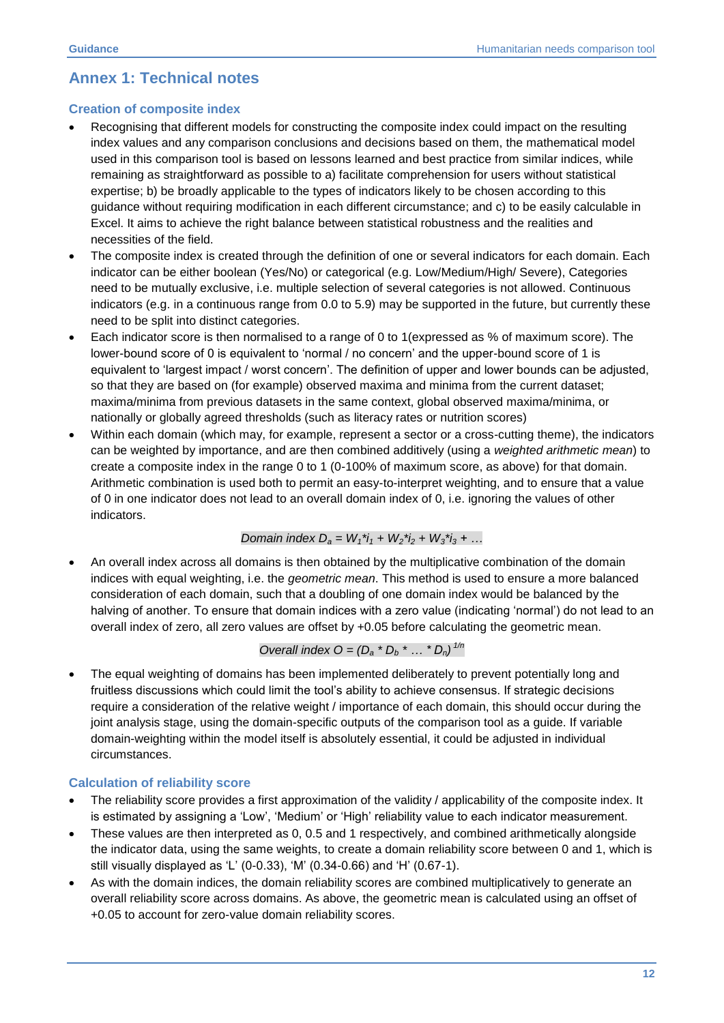## <span id="page-11-0"></span>**Annex 1: Technical notes**

## **Creation of composite index**

- Recognising that different models for constructing the composite index could impact on the resulting index values and any comparison conclusions and decisions based on them, the mathematical model used in this comparison tool is based on lessons learned and best practice from similar indices, while remaining as straightforward as possible to a) facilitate comprehension for users without statistical expertise; b) be broadly applicable to the types of indicators likely to be chosen according to this guidance without requiring modification in each different circumstance; and c) to be easily calculable in Excel. It aims to achieve the right balance between statistical robustness and the realities and necessities of the field.
- The composite index is created through the definition of one or several indicators for each domain. Each indicator can be either boolean (Yes/No) or categorical (e.g. Low/Medium/High/ Severe), Categories need to be mutually exclusive, i.e. multiple selection of several categories is not allowed. Continuous indicators (e.g. in a continuous range from 0.0 to 5.9) may be supported in the future, but currently these need to be split into distinct categories.
- Each indicator score is then normalised to a range of 0 to 1(expressed as % of maximum score). The lower-bound score of 0 is equivalent to 'normal / no concern' and the upper-bound score of 1 is equivalent to 'largest impact / worst concern'. The definition of upper and lower bounds can be adjusted, so that they are based on (for example) observed maxima and minima from the current dataset; maxima/minima from previous datasets in the same context, global observed maxima/minima, or nationally or globally agreed thresholds (such as literacy rates or nutrition scores)
- Within each domain (which may, for example, represent a sector or a cross-cutting theme), the indicators can be weighted by importance, and are then combined additively (using a *weighted arithmetic mean*) to create a composite index in the range 0 to 1 (0-100% of maximum score, as above) for that domain. Arithmetic combination is used both to permit an easy-to-interpret weighting, and to ensure that a value of 0 in one indicator does not lead to an overall domain index of 0, i.e. ignoring the values of other indicators.

Domain index 
$$
D_a = W_1^*i_1 + W_2^*i_2 + W_3^*i_3 + \dots
$$

 An overall index across all domains is then obtained by the multiplicative combination of the domain indices with equal weighting, i.e. the *geometric mean*. This method is used to ensure a more balanced consideration of each domain, such that a doubling of one domain index would be balanced by the halving of another. To ensure that domain indices with a zero value (indicating 'normal') do not lead to an overall index of zero, all zero values are offset by +0.05 before calculating the geometric mean.

Overall index 
$$
O = (D_a * D_b * ... * D_n)^{1/n}
$$

 The equal weighting of domains has been implemented deliberately to prevent potentially long and fruitless discussions which could limit the tool's ability to achieve consensus. If strategic decisions require a consideration of the relative weight / importance of each domain, this should occur during the joint analysis stage, using the domain-specific outputs of the comparison tool as a guide. If variable domain-weighting within the model itself is absolutely essential, it could be adjusted in individual circumstances.

## **Calculation of reliability score**

- The reliability score provides a first approximation of the validity / applicability of the composite index. It is estimated by assigning a 'Low', 'Medium' or 'High' reliability value to each indicator measurement.
- These values are then interpreted as 0, 0.5 and 1 respectively, and combined arithmetically alongside the indicator data, using the same weights, to create a domain reliability score between 0 and 1, which is still visually displayed as 'L' (0-0.33), 'M' (0.34-0.66) and 'H' (0.67-1).
- As with the domain indices, the domain reliability scores are combined multiplicatively to generate an overall reliability score across domains. As above, the geometric mean is calculated using an offset of +0.05 to account for zero-value domain reliability scores.